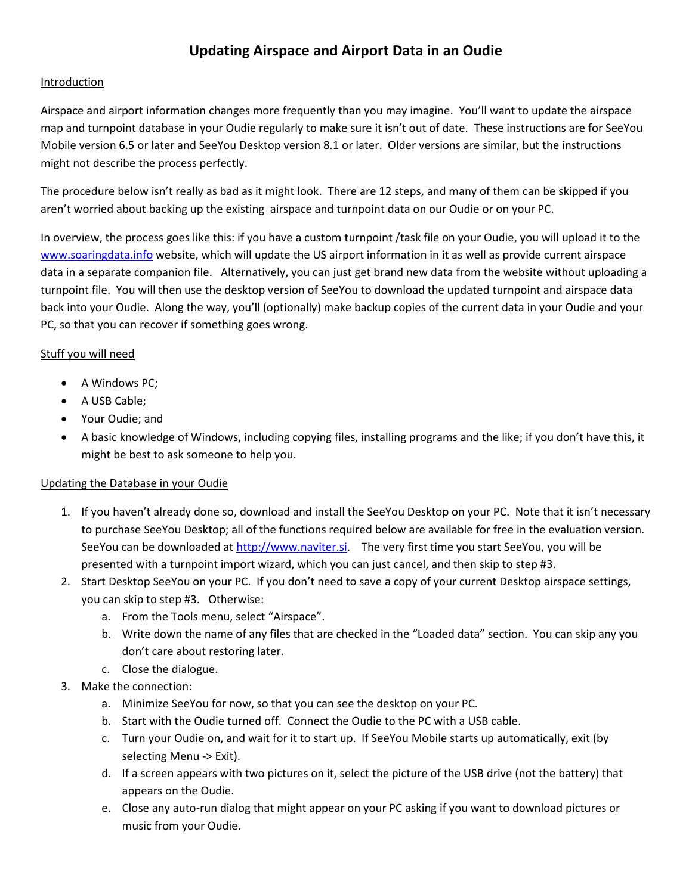## **Updating Airspace and Airport Data in an Oudie**

## Introduction

Airspace and airport information changes more frequently than you may imagine. You'll want to update the airspace map and turnpoint database in your Oudie regularly to make sure it isn't out of date. These instructions are for SeeYou Mobile version 6.5 or later and SeeYou Desktop version 8.1 or later. Older versions are similar, but the instructions might not describe the process perfectly.

The procedure below isn't really as bad as it might look. There are 12 steps, and many of them can be skipped if you aren't worried about backing up the existing airspace and turnpoint data on our Oudie or on your PC.

In overview, the process goes like this: if you have a custom turnpoint /task file on your Oudie, you will upload it to the www.soaringdata.info website, which will update the US airport information in it as well as provide current airspace data in a separate companion file. Alternatively, you can just get brand new data from the website without uploading a turnpoint file. You will then use the desktop version of SeeYou to download the updated turnpoint and airspace data back into your Oudie. Along the way, you'll (optionally) make backup copies of the current data in your Oudie and your PC, so that you can recover if something goes wrong.

## Stuff you will need

- A Windows PC;
- A USB Cable;
- Your Oudie; and
- A basic knowledge of Windows, including copying files, installing programs and the like; if you don't have this, it might be best to ask someone to help you.

## Updating the Database in your Oudie

- 1. If you haven't already done so, download and install the SeeYou Desktop on your PC. Note that it isn't necessary to purchase SeeYou Desktop; all of the functions required below are available for free in the evaluation version. SeeYou can be downloaded at http://www.naviter.si. The very first time you start SeeYou, you will be presented with a turnpoint import wizard, which you can just cancel, and then skip to step #3.
- 2. Start Desktop SeeYou on your PC. If you don't need to save a copy of your current Desktop airspace settings, you can skip to step #3. Otherwise:
	- a. From the Tools menu, select "Airspace".
	- b. Write down the name of any files that are checked in the "Loaded data" section. You can skip any you don't care about restoring later.
	- c. Close the dialogue.
- 3. Make the connection:
	- a. Minimize SeeYou for now, so that you can see the desktop on your PC.
	- b. Start with the Oudie turned off. Connect the Oudie to the PC with a USB cable.
	- c. Turn your Oudie on, and wait for it to start up. If SeeYou Mobile starts up automatically, exit (by selecting Menu -> Exit).
	- d. If a screen appears with two pictures on it, select the picture of the USB drive (not the battery) that appears on the Oudie.
	- e. Close any auto-run dialog that might appear on your PC asking if you want to download pictures or music from your Oudie.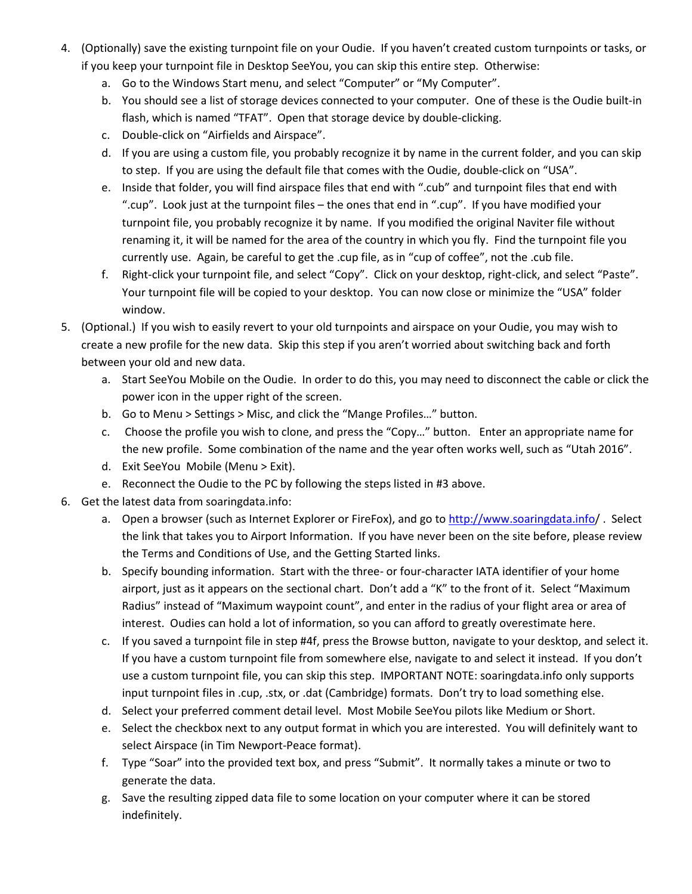- 4. (Optionally) save the existing turnpoint file on your Oudie. If you haven't created custom turnpoints or tasks, or if you keep your turnpoint file in Desktop SeeYou, you can skip this entire step. Otherwise:
	- a. Go to the Windows Start menu, and select "Computer" or "My Computer".
	- b. You should see a list of storage devices connected to your computer. One of these is the Oudie built-in flash, which is named "TFAT". Open that storage device by double-clicking.
	- c. Double-click on "Airfields and Airspace".
	- d. If you are using a custom file, you probably recognize it by name in the current folder, and you can skip to step. If you are using the default file that comes with the Oudie, double-click on "USA".
	- e. Inside that folder, you will find airspace files that end with ".cub" and turnpoint files that end with ".cup". Look just at the turnpoint files – the ones that end in ".cup". If you have modified your turnpoint file, you probably recognize it by name. If you modified the original Naviter file without renaming it, it will be named for the area of the country in which you fly. Find the turnpoint file you currently use. Again, be careful to get the .cup file, as in "cup of coffee", not the .cub file.
	- f. Right-click your turnpoint file, and select "Copy". Click on your desktop, right-click, and select "Paste". Your turnpoint file will be copied to your desktop. You can now close or minimize the "USA" folder window.
- 5. (Optional.) If you wish to easily revert to your old turnpoints and airspace on your Oudie, you may wish to create a new profile for the new data. Skip this step if you aren't worried about switching back and forth between your old and new data.
	- a. Start SeeYou Mobile on the Oudie. In order to do this, you may need to disconnect the cable or click the power icon in the upper right of the screen.
	- b. Go to Menu > Settings > Misc, and click the "Mange Profiles…" button.
	- c. Choose the profile you wish to clone, and press the "Copy…" button. Enter an appropriate name for the new profile. Some combination of the name and the year often works well, such as "Utah 2016".
	- d. Exit SeeYou Mobile (Menu > Exit).
	- e. Reconnect the Oudie to the PC by following the steps listed in #3 above.
- 6. Get the latest data from soaringdata.info:
	- a. Open a browser (such as Internet Explorer or FireFox), and go to http://www.soaringdata.info/. Select the link that takes you to Airport Information. If you have never been on the site before, please review the Terms and Conditions of Use, and the Getting Started links.
	- b. Specify bounding information. Start with the three- or four-character IATA identifier of your home airport, just as it appears on the sectional chart. Don't add a "K" to the front of it. Select "Maximum Radius" instead of "Maximum waypoint count", and enter in the radius of your flight area or area of interest. Oudies can hold a lot of information, so you can afford to greatly overestimate here.
	- c. If you saved a turnpoint file in step #4f, press the Browse button, navigate to your desktop, and select it. If you have a custom turnpoint file from somewhere else, navigate to and select it instead. If you don't use a custom turnpoint file, you can skip this step. IMPORTANT NOTE: soaringdata.info only supports input turnpoint files in .cup, .stx, or .dat (Cambridge) formats. Don't try to load something else.
	- d. Select your preferred comment detail level. Most Mobile SeeYou pilots like Medium or Short.
	- e. Select the checkbox next to any output format in which you are interested. You will definitely want to select Airspace (in Tim Newport-Peace format).
	- f. Type "Soar" into the provided text box, and press "Submit". It normally takes a minute or two to generate the data.
	- g. Save the resulting zipped data file to some location on your computer where it can be stored indefinitely.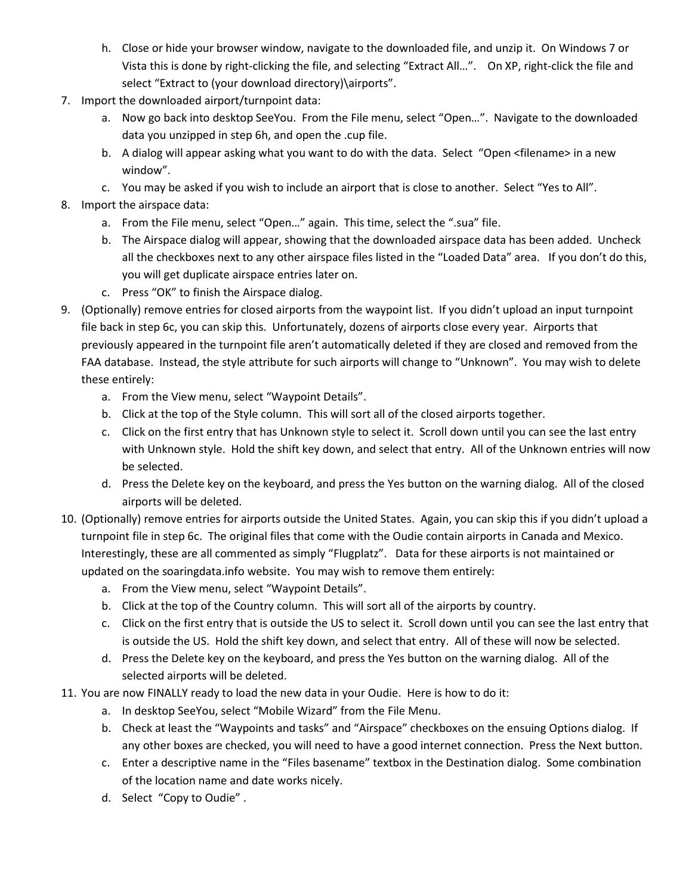- h. Close or hide your browser window, navigate to the downloaded file, and unzip it. On Windows 7 or Vista this is done by right-clicking the file, and selecting "Extract All…". On XP, right-click the file and select "Extract to (your download directory)\airports".
- 7. Import the downloaded airport/turnpoint data:
	- a. Now go back into desktop SeeYou. From the File menu, select "Open…". Navigate to the downloaded data you unzipped in step 6h, and open the .cup file.
	- b. A dialog will appear asking what you want to do with the data. Select "Open <filename> in a new window".
	- c. You may be asked if you wish to include an airport that is close to another. Select "Yes to All".
- 8. Import the airspace data:
	- a. From the File menu, select "Open…" again. This time, select the ".sua" file.
	- b. The Airspace dialog will appear, showing that the downloaded airspace data has been added. Uncheck all the checkboxes next to any other airspace files listed in the "Loaded Data" area. If you don't do this, you will get duplicate airspace entries later on.
	- c. Press "OK" to finish the Airspace dialog.
- 9. (Optionally) remove entries for closed airports from the waypoint list. If you didn't upload an input turnpoint file back in step 6c, you can skip this. Unfortunately, dozens of airports close every year. Airports that previously appeared in the turnpoint file aren't automatically deleted if they are closed and removed from the FAA database. Instead, the style attribute for such airports will change to "Unknown". You may wish to delete these entirely:
	- a. From the View menu, select "Waypoint Details".
	- b. Click at the top of the Style column. This will sort all of the closed airports together.
	- c. Click on the first entry that has Unknown style to select it. Scroll down until you can see the last entry with Unknown style. Hold the shift key down, and select that entry. All of the Unknown entries will now be selected.
	- d. Press the Delete key on the keyboard, and press the Yes button on the warning dialog. All of the closed airports will be deleted.
- 10. (Optionally) remove entries for airports outside the United States. Again, you can skip this if you didn't upload a turnpoint file in step 6c. The original files that come with the Oudie contain airports in Canada and Mexico. Interestingly, these are all commented as simply "Flugplatz". Data for these airports is not maintained or updated on the soaringdata.info website. You may wish to remove them entirely:
	- a. From the View menu, select "Waypoint Details".
	- b. Click at the top of the Country column. This will sort all of the airports by country.
	- c. Click on the first entry that is outside the US to select it. Scroll down until you can see the last entry that is outside the US. Hold the shift key down, and select that entry. All of these will now be selected.
	- d. Press the Delete key on the keyboard, and press the Yes button on the warning dialog. All of the selected airports will be deleted.
- 11. You are now FINALLY ready to load the new data in your Oudie. Here is how to do it:
	- a. In desktop SeeYou, select "Mobile Wizard" from the File Menu.
	- b. Check at least the "Waypoints and tasks" and "Airspace" checkboxes on the ensuing Options dialog. If any other boxes are checked, you will need to have a good internet connection. Press the Next button.
	- c. Enter a descriptive name in the "Files basename" textbox in the Destination dialog. Some combination of the location name and date works nicely.
	- d. Select "Copy to Oudie" .